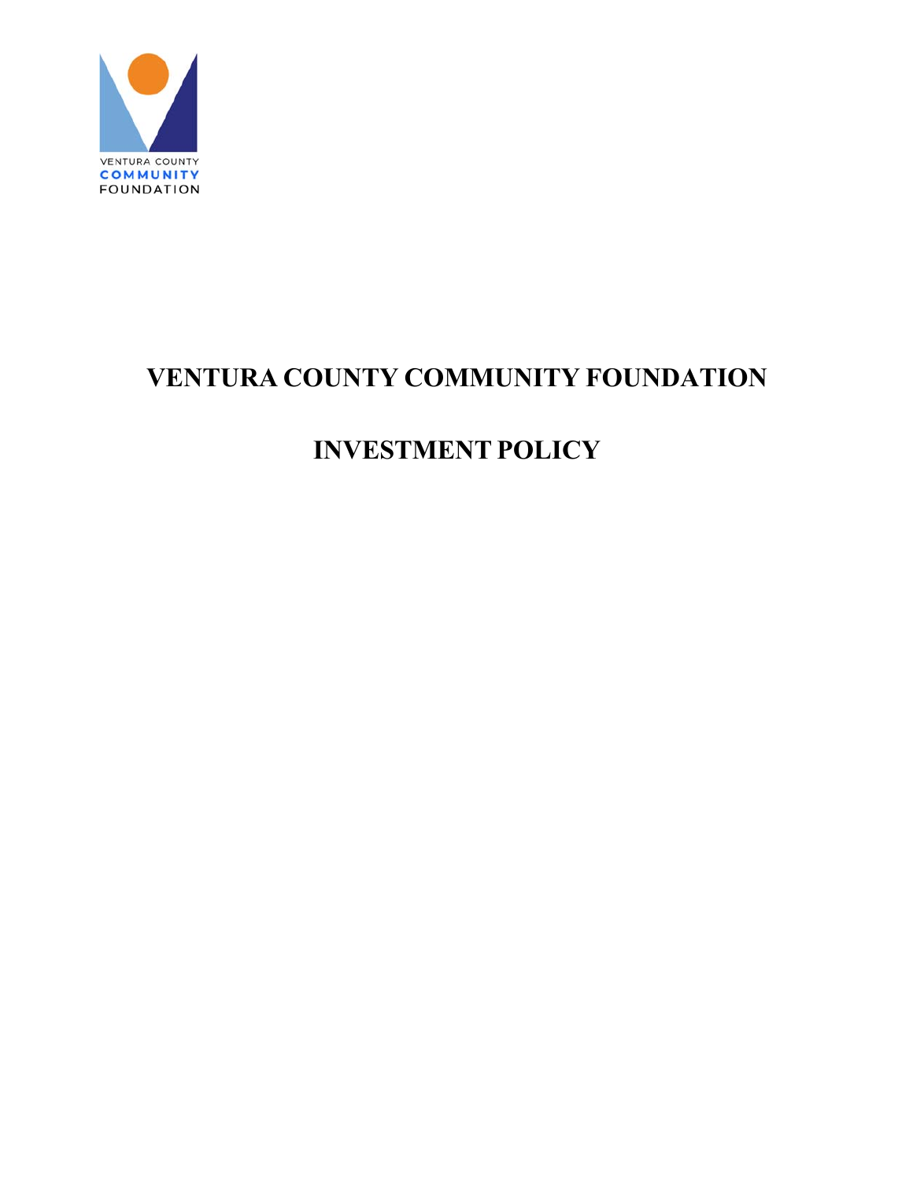

# **VENTURA COUNTY COMMUNITY FOUNDATION**

# **INVESTMENT POLICY**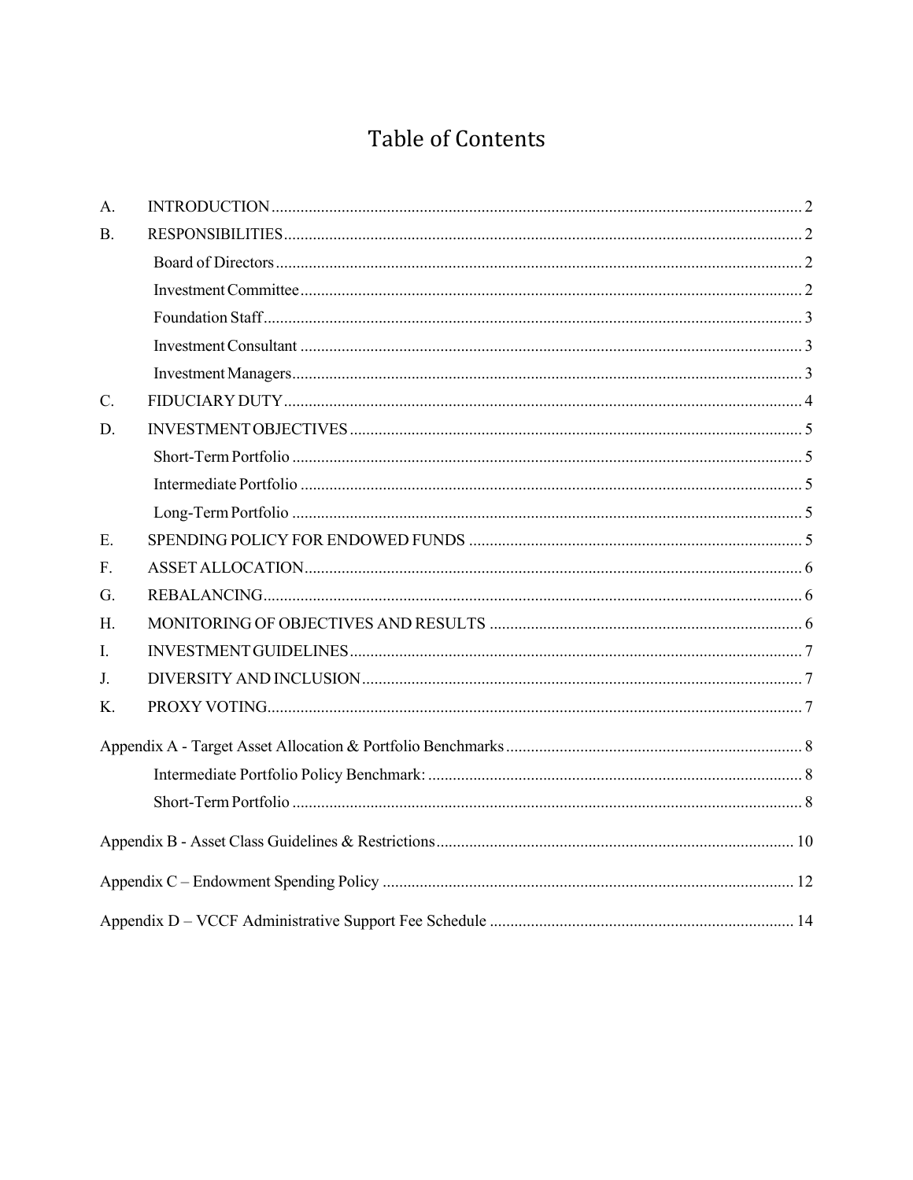# Table of Contents

| A.             |  |
|----------------|--|
| $\mathbf{B}$ . |  |
|                |  |
|                |  |
|                |  |
|                |  |
|                |  |
| C.             |  |
| D.             |  |
|                |  |
|                |  |
|                |  |
| E.             |  |
| F.             |  |
| G.             |  |
| Н.             |  |
| I.             |  |
| J.             |  |
| K.             |  |
|                |  |
|                |  |
|                |  |
|                |  |
|                |  |
|                |  |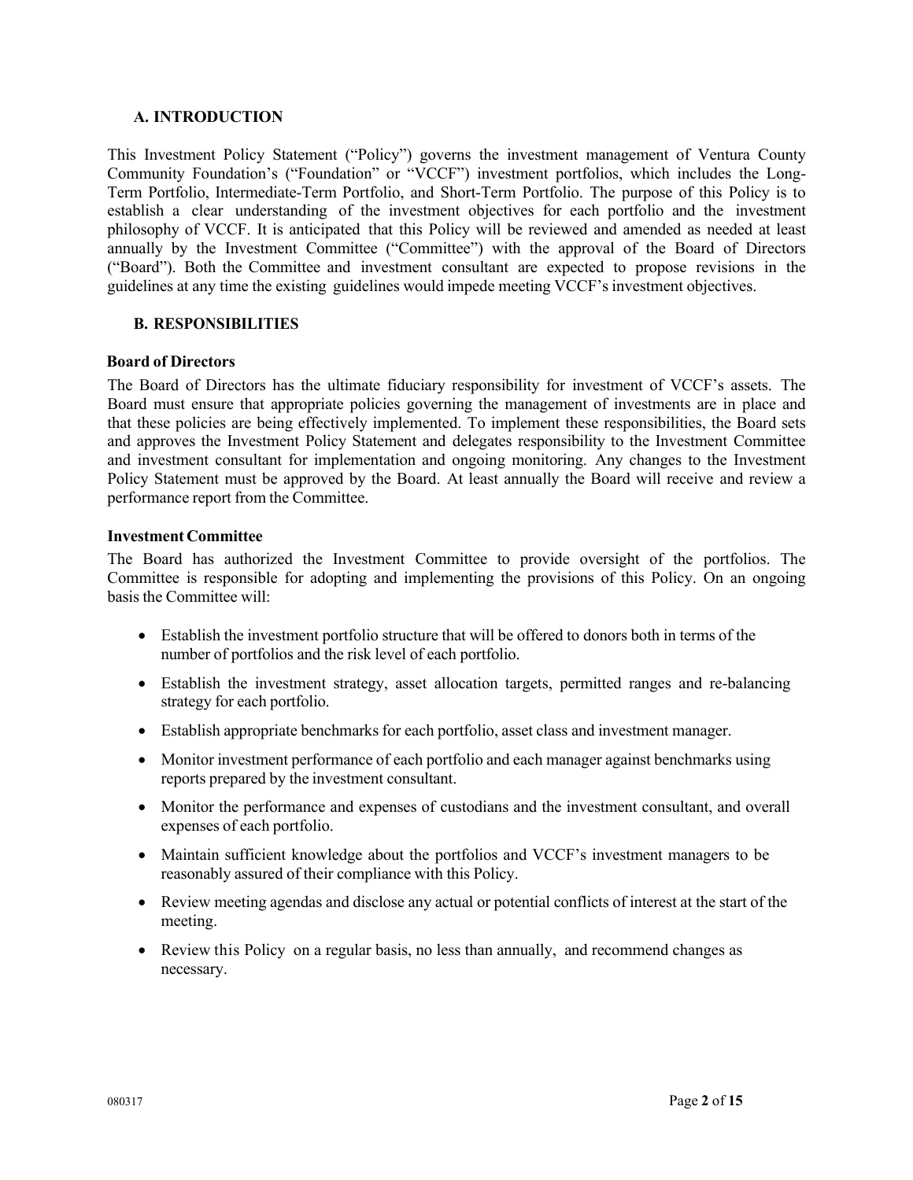#### **A. INTRODUCTION**

This Investment Policy Statement ("Policy") governs the investment management of Ventura County Community Foundation's ("Foundation" or "VCCF") investment portfolios, which includes the Long-Term Portfolio, Intermediate-Term Portfolio, and Short-Term Portfolio. The purpose of this Policy is to establish a clear understanding of the investment objectives for each portfolio and the investment philosophy of VCCF. It is anticipated that this Policy will be reviewed and amended as needed at least annually by the Investment Committee ("Committee") with the approval of the Board of Directors ("Board"). Both the Committee and investment consultant are expected to propose revisions in the guidelines at any time the existing guidelines would impede meeting VCCF's investment objectives.

## **B. RESPONSIBILITIES**

#### **Board of Directors**

The Board of Directors has the ultimate fiduciary responsibility for investment of VCCF's assets. The Board must ensure that appropriate policies governing the management of investments are in place and that these policies are being effectively implemented. To implement these responsibilities, the Board sets and approves the Investment Policy Statement and delegates responsibility to the Investment Committee and investment consultant for implementation and ongoing monitoring. Any changes to the Investment Policy Statement must be approved by the Board. At least annually the Board will receive and review a performance report from the Committee.

#### **Investment Committee**

The Board has authorized the Investment Committee to provide oversight of the portfolios. The Committee is responsible for adopting and implementing the provisions of this Policy. On an ongoing basis the Committee will:

- Establish the investment portfolio structure that will be offered to donors both in terms of the number of portfolios and the risk level of each portfolio.
- Establish the investment strategy, asset allocation targets, permitted ranges and re-balancing strategy for each portfolio.
- Establish appropriate benchmarks for each portfolio, asset class and investment manager.
- Monitor investment performance of each portfolio and each manager against benchmarks using reports prepared by the investment consultant.
- Monitor the performance and expenses of custodians and the investment consultant, and overall expenses of each portfolio.
- Maintain sufficient knowledge about the portfolios and VCCF's investment managers to be reasonably assured of their compliance with this Policy.
- Review meeting agendas and disclose any actual or potential conflicts of interest at the start of the meeting.
- Review this Policy on a regular basis, no less than annually, and recommend changes as necessary.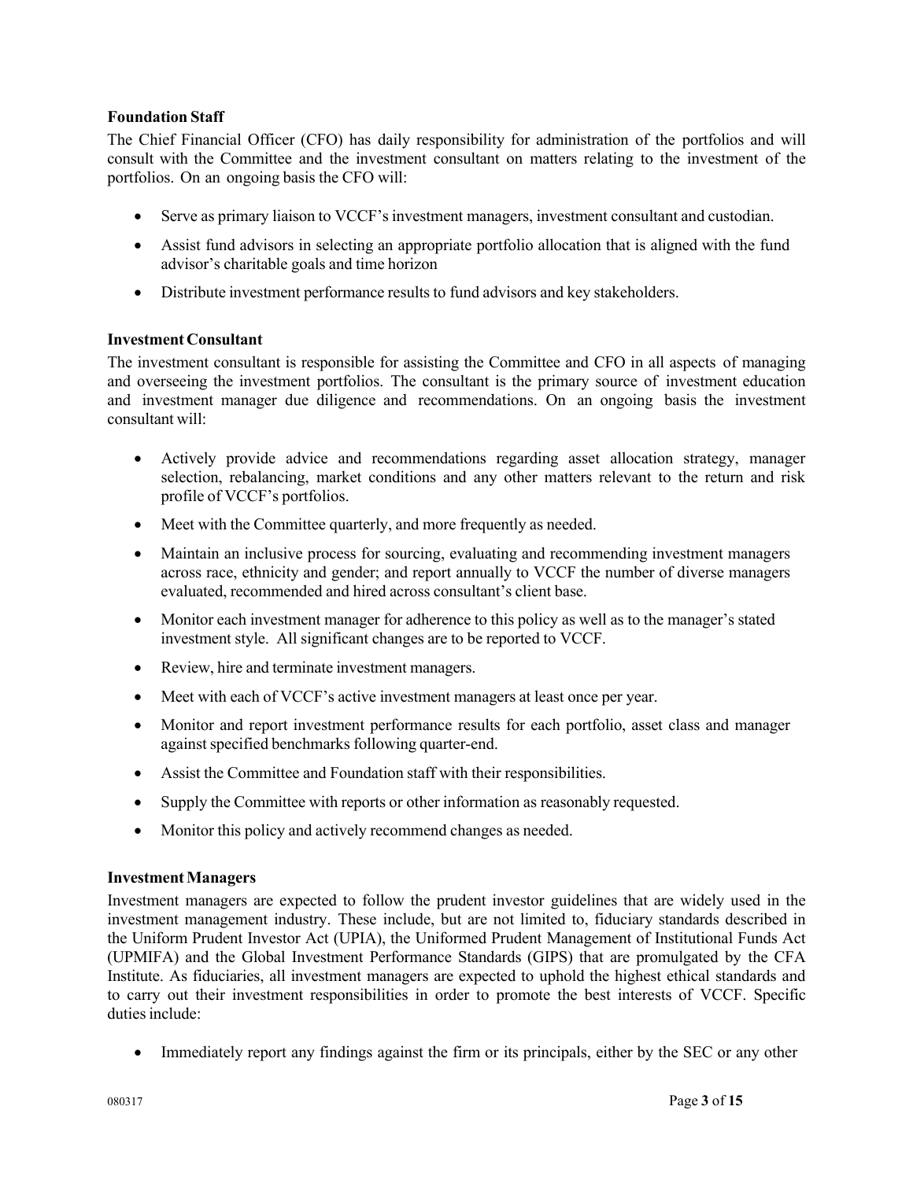# **Foundation Staff**

The Chief Financial Officer (CFO) has daily responsibility for administration of the portfolios and will consult with the Committee and the investment consultant on matters relating to the investment of the portfolios. On an ongoing basis the CFO will:

- Serve as primary liaison to VCCF's investment managers, investment consultant and custodian.
- Assist fund advisors in selecting an appropriate portfolio allocation that is aligned with the fund advisor's charitable goals and time horizon
- Distribute investment performance results to fund advisors and key stakeholders.

# **Investment Consultant**

The investment consultant is responsible for assisting the Committee and CFO in all aspects of managing and overseeing the investment portfolios. The consultant is the primary source of investment education and investment manager due diligence and recommendations. On an ongoing basis the investment consultant will:

- Actively provide advice and recommendations regarding asset allocation strategy, manager selection, rebalancing, market conditions and any other matters relevant to the return and risk profile of VCCF's portfolios.
- Meet with the Committee quarterly, and more frequently as needed.
- Maintain an inclusive process for sourcing, evaluating and recommending investment managers across race, ethnicity and gender; and report annually to VCCF the number of diverse managers evaluated, recommended and hired across consultant's client base.
- Monitor each investment manager for adherence to this policy as well as to the manager's stated investment style. All significant changes are to be reported to VCCF.
- Review, hire and terminate investment managers.
- Meet with each of VCCF's active investment managers at least once per year.
- Monitor and report investment performance results for each portfolio, asset class and manager against specified benchmarks following quarter-end.
- Assist the Committee and Foundation staff with their responsibilities.
- Supply the Committee with reports or other information as reasonably requested.
- Monitor this policy and actively recommend changes as needed.

## **Investment Managers**

Investment managers are expected to follow the prudent investor guidelines that are widely used in the investment management industry. These include, but are not limited to, fiduciary standards described in the Uniform Prudent Investor Act (UPIA), the Uniformed Prudent Management of Institutional Funds Act (UPMIFA) and the Global Investment Performance Standards (GIPS) that are promulgated by the CFA Institute. As fiduciaries, all investment managers are expected to uphold the highest ethical standards and to carry out their investment responsibilities in order to promote the best interests of VCCF. Specific duties include:

• Immediately report any findings against the firm or its principals, either by the SEC or any other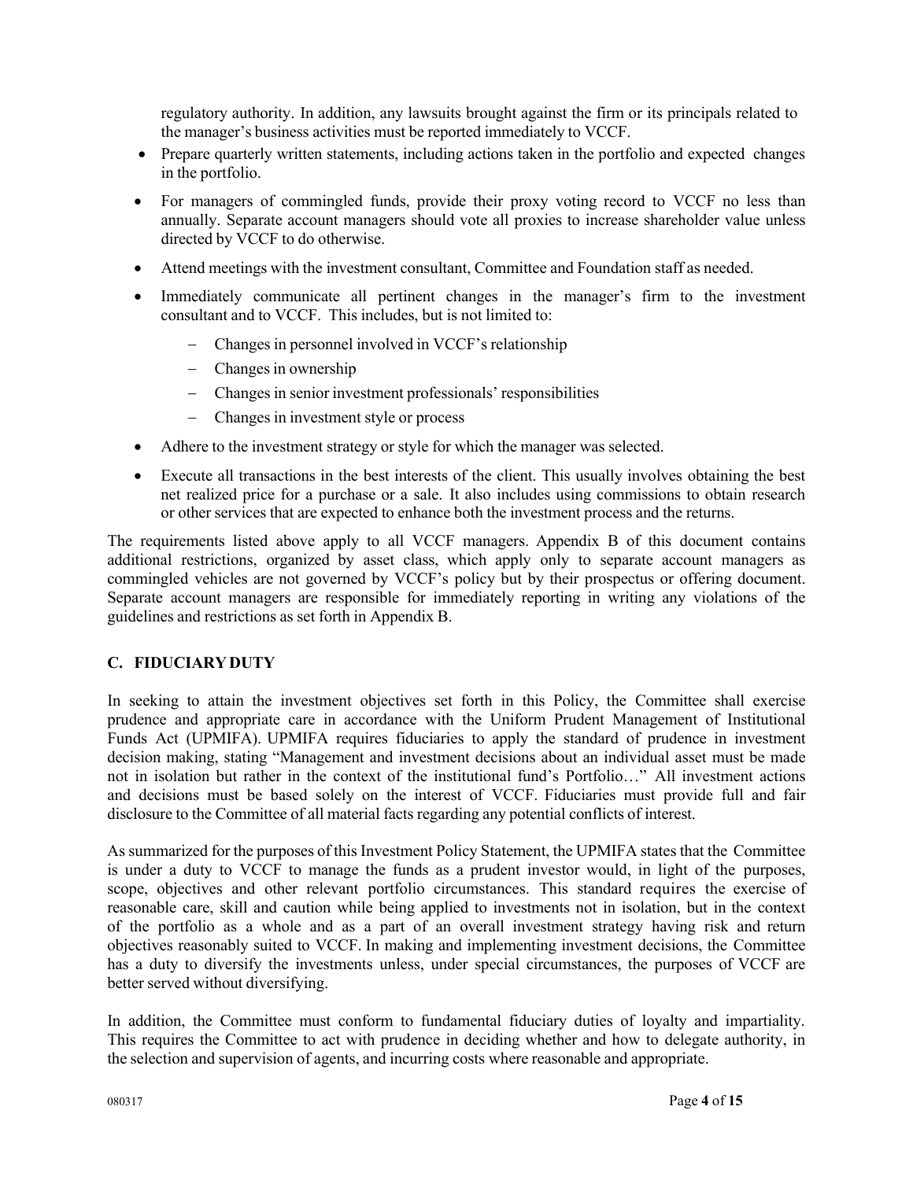regulatory authority. In addition, any lawsuits brought against the firm or its principals related to the manager's business activities must be reported immediately to VCCF.

- Prepare quarterly written statements, including actions taken in the portfolio and expected changes in the portfolio.
- For managers of commingled funds, provide their proxy voting record to VCCF no less than annually. Separate account managers should vote all proxies to increase shareholder value unless directed by VCCF to do otherwise.
- Attend meetings with the investment consultant, Committee and Foundation staff as needed.
- Immediately communicate all pertinent changes in the manager's firm to the investment consultant and to VCCF. This includes, but is not limited to:
	- Changes in personnel involved in VCCF's relationship
	- Changes in ownership
	- Changes in senior investment professionals' responsibilities
	- Changes in investment style or process
- Adhere to the investment strategy or style for which the manager was selected.
- Execute all transactions in the best interests of the client. This usually involves obtaining the best net realized price for a purchase or a sale. It also includes using commissions to obtain research or other services that are expected to enhance both the investment process and the returns.

The requirements listed above apply to all VCCF managers. Appendix B of this document contains additional restrictions, organized by asset class, which apply only to separate account managers as commingled vehicles are not governed by VCCF's policy but by their prospectus or offering document. Separate account managers are responsible for immediately reporting in writing any violations of the guidelines and restrictions as set forth in Appendix B.

# **C. FIDUCIARY DUTY**

In seeking to attain the investment objectives set forth in this Policy, the Committee shall exercise prudence and appropriate care in accordance with the Uniform Prudent Management of Institutional Funds Act (UPMIFA). UPMIFA requires fiduciaries to apply the standard of prudence in investment decision making, stating "Management and investment decisions about an individual asset must be made not in isolation but rather in the context of the institutional fund's Portfolio…" All investment actions and decisions must be based solely on the interest of VCCF. Fiduciaries must provide full and fair disclosure to the Committee of all material facts regarding any potential conflicts of interest.

As summarized for the purposes of this Investment Policy Statement, the UPMIFA states that the Committee is under a duty to VCCF to manage the funds as a prudent investor would, in light of the purposes, scope, objectives and other relevant portfolio circumstances. This standard requires the exercise of reasonable care, skill and caution while being applied to investments not in isolation, but in the context of the portfolio as a whole and as a part of an overall investment strategy having risk and return objectives reasonably suited to VCCF. In making and implementing investment decisions, the Committee has a duty to diversify the investments unless, under special circumstances, the purposes of VCCF are better served without diversifying.

In addition, the Committee must conform to fundamental fiduciary duties of loyalty and impartiality. This requires the Committee to act with prudence in deciding whether and how to delegate authority, in the selection and supervision of agents, and incurring costs where reasonable and appropriate.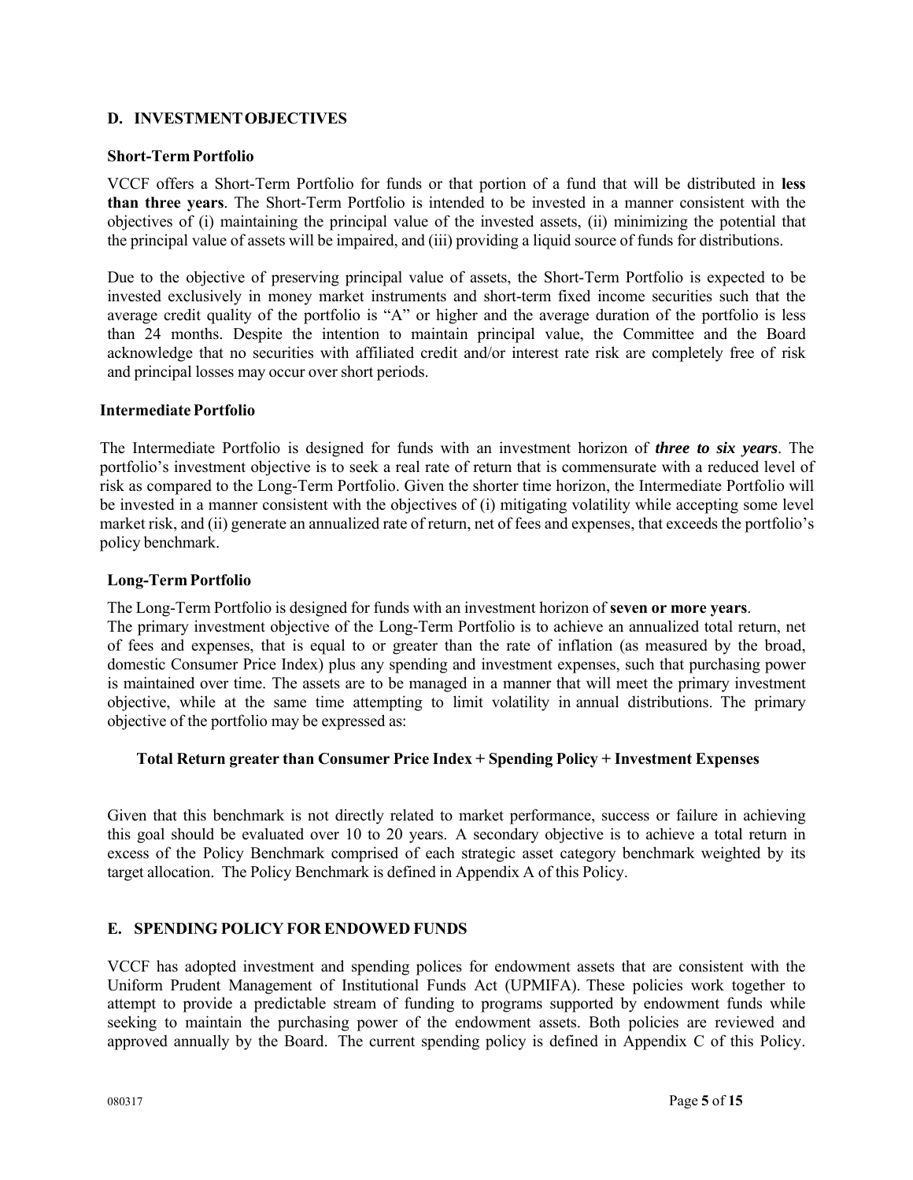# **D. INVESTMENT OBJECTIVES**

#### **Short-Term Portfolio**

VCCF offers a Short-Term Portfolio for funds or that portion of a fund that will be distributed in **less than three years**. The Short-Term Portfolio is intended to be invested in a manner consistent with the objectives of (i) maintaining the principal value of the invested assets, (ii) minimizing the potential that the principal value of assets will be impaired, and (iii) providing a liquid source of funds for distributions.

Due to the objective of preserving principal value of assets, the Short-Term Portfolio is expected to be invested exclusively in money market instruments and short-term fixed income securities such that the average credit quality of the portfolio is "A" or higher and the average duration of the portfolio is less than 24 months. Despite the intention to maintain principal value, the Committee and the Board acknowledge that no securities with affiliated credit and/or interest rate risk are completely free of risk and principal losses may occur over short periods.

#### **Intermediate Portfolio**

The Intermediate Portfolio is designed for funds with an investment horizon of *three to six years*. The portfolio's investment objective is to seek a real rate of return that is commensurate with a reduced level of risk as compared to the Long-Term Portfolio. Given the shorter time horizon, the Intermediate Portfolio will be invested in a manner consistent with the objectives of (i) mitigating volatility while accepting some level market risk, and (ii) generate an annualized rate of return, net of fees and expenses, that exceeds the portfolio's policy benchmark.

#### **Long-Term Portfolio**

The Long-Term Portfolio is designed for funds with an investment horizon of **seven or more years**. The primary investment objective of the Long-Term Portfolio is to achieve an annualized total return, net of fees and expenses, that is equal to or greater than the rate of inflation (as measured by the broad, domestic Consumer Price Index) plus any spending and investment expenses, such that purchasing power is maintained over time. The assets are to be managed in a manner that will meet the primary investment objective, while at the same time attempting to limit volatility in annual distributions. The primary objective of the portfolio may be expressed as:

## **Total Return greater than Consumer Price Index + Spending Policy + Investment Expenses**

Given that this benchmark is not directly related to market performance, success or failure in achieving this goal should be evaluated over 10 to 20 years. A secondary objective is to achieve a total return in excess of the Policy Benchmark comprised of each strategic asset category benchmark weighted by its target allocation. The Policy Benchmark is defined in Appendix A of this Policy.

## **E. SPENDING POLICY FOR ENDOWED FUNDS**

VCCF has adopted investment and spending polices for endowment assets that are consistent with the Uniform Prudent Management of Institutional Funds Act (UPMIFA). These policies work together to attempt to provide a predictable stream of funding to programs supported by endowment funds while seeking to maintain the purchasing power of the endowment assets. Both policies are reviewed and approved annually by the Board. The current spending policy is defined in Appendix C of this Policy.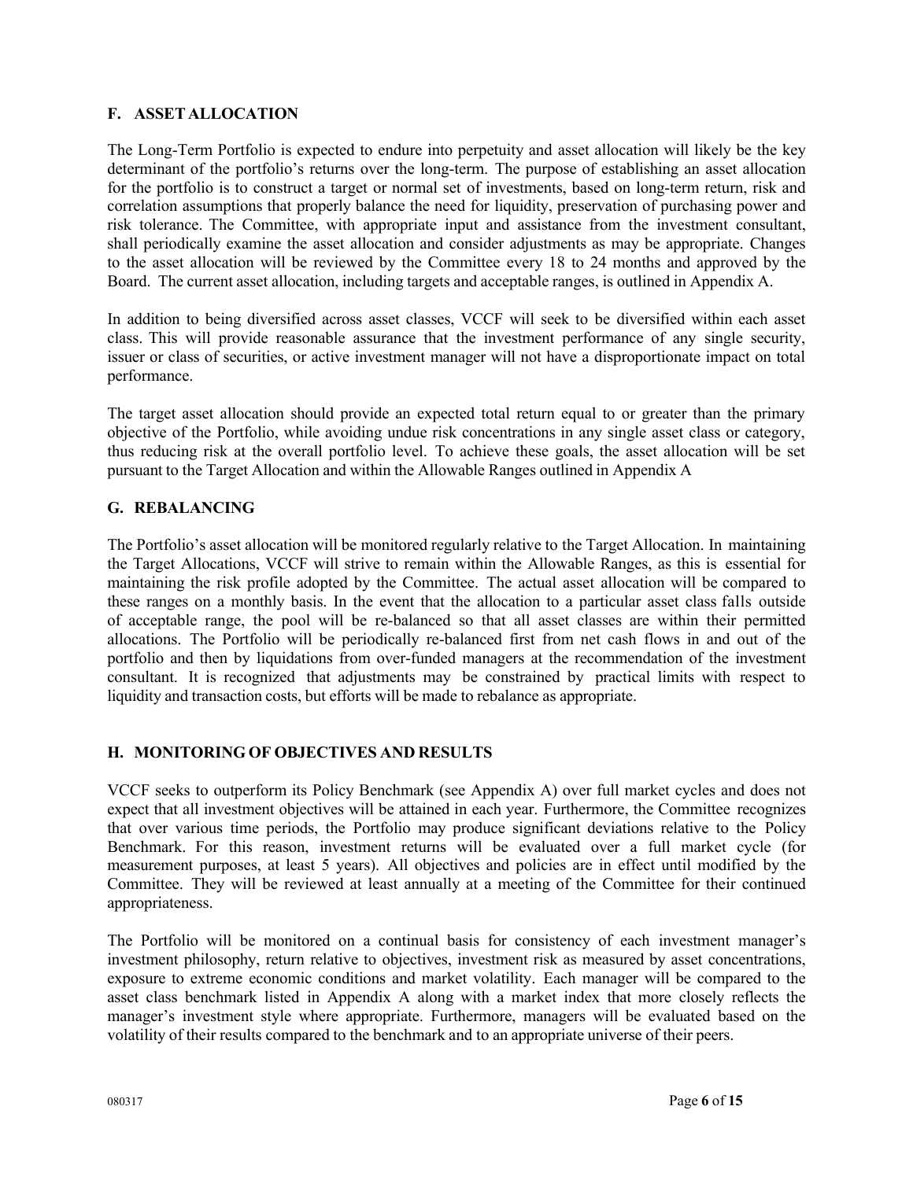# **F. ASSET ALLOCATION**

The Long-Term Portfolio is expected to endure into perpetuity and asset allocation will likely be the key determinant of the portfolio's returns over the long-term. The purpose of establishing an asset allocation for the portfolio is to construct a target or normal set of investments, based on long-term return, risk and correlation assumptions that properly balance the need for liquidity, preservation of purchasing power and risk tolerance. The Committee, with appropriate input and assistance from the investment consultant, shall periodically examine the asset allocation and consider adjustments as may be appropriate. Changes to the asset allocation will be reviewed by the Committee every 18 to 24 months and approved by the Board. The current asset allocation, including targets and acceptable ranges, is outlined in Appendix A.

In addition to being diversified across asset classes, VCCF will seek to be diversified within each asset class. This will provide reasonable assurance that the investment performance of any single security, issuer or class of securities, or active investment manager will not have a disproportionate impact on total performance.

The target asset allocation should provide an expected total return equal to or greater than the primary objective of the Portfolio, while avoiding undue risk concentrations in any single asset class or category, thus reducing risk at the overall portfolio level. To achieve these goals, the asset allocation will be set pursuant to the Target Allocation and within the Allowable Ranges outlined in Appendix A

# **G. REBALANCING**

The Portfolio's asset allocation will be monitored regularly relative to the Target Allocation. In maintaining the Target Allocations, VCCF will strive to remain within the Allowable Ranges, as this is essential for maintaining the risk profile adopted by the Committee. The actual asset allocation will be compared to these ranges on a monthly basis. In the event that the allocation to a particular asset class falls outside of acceptable range, the pool will be re-balanced so that all asset classes are within their permitted allocations. The Portfolio will be periodically re-balanced first from net cash flows in and out of the portfolio and then by liquidations from over-funded managers at the recommendation of the investment consultant. It is recognized that adjustments may be constrained by practical limits with respect to liquidity and transaction costs, but efforts will be made to rebalance as appropriate.

# **H. MONITORING OF OBJECTIVES AND RESULTS**

VCCF seeks to outperform its Policy Benchmark (see Appendix A) over full market cycles and does not expect that all investment objectives will be attained in each year. Furthermore, the Committee recognizes that over various time periods, the Portfolio may produce significant deviations relative to the Policy Benchmark. For this reason, investment returns will be evaluated over a full market cycle (for measurement purposes, at least 5 years). All objectives and policies are in effect until modified by the Committee. They will be reviewed at least annually at a meeting of the Committee for their continued appropriateness.

The Portfolio will be monitored on a continual basis for consistency of each investment manager's investment philosophy, return relative to objectives, investment risk as measured by asset concentrations, exposure to extreme economic conditions and market volatility. Each manager will be compared to the asset class benchmark listed in Appendix A along with a market index that more closely reflects the manager's investment style where appropriate. Furthermore, managers will be evaluated based on the volatility of their results compared to the benchmark and to an appropriate universe of their peers.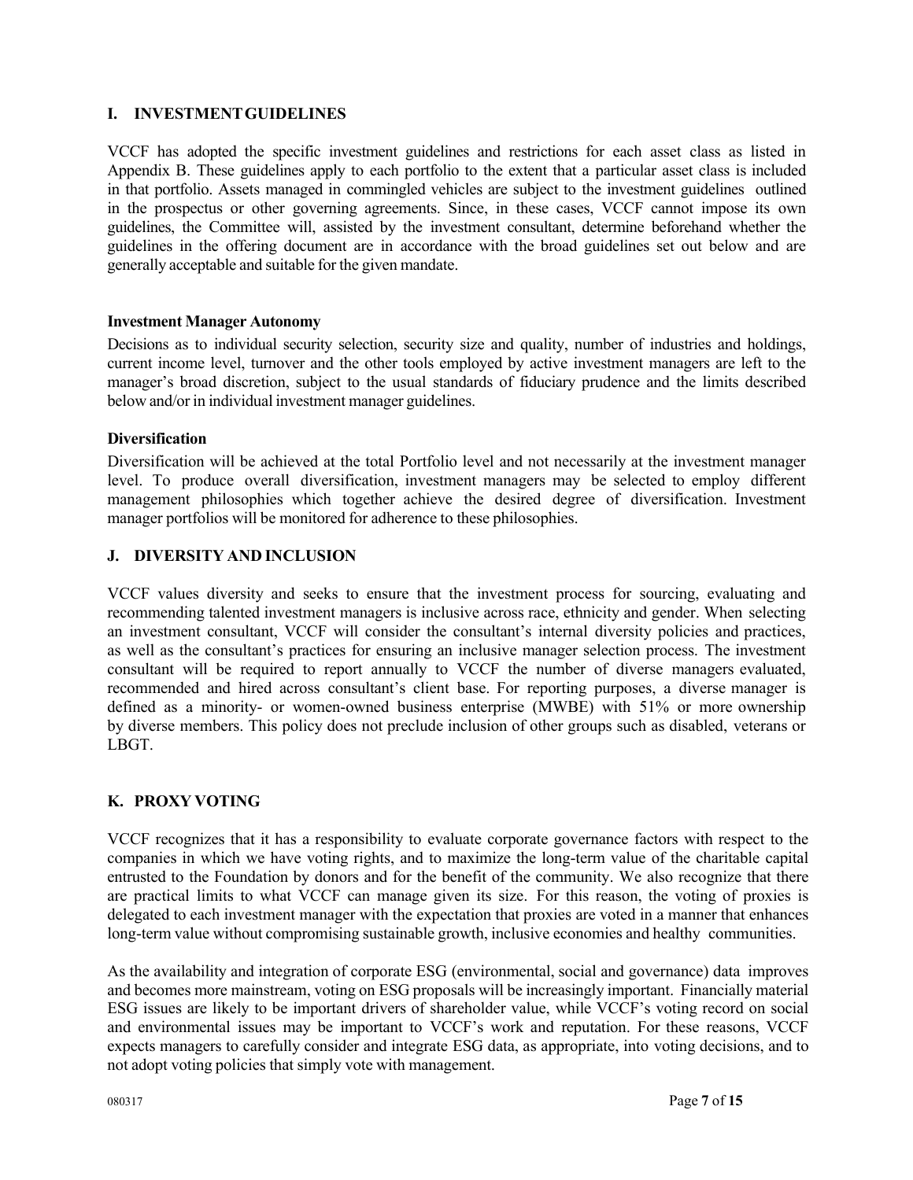# **I. INVESTMENT GUIDELINES**

VCCF has adopted the specific investment guidelines and restrictions for each asset class as listed in Appendix B. These guidelines apply to each portfolio to the extent that a particular asset class is included in that portfolio. Assets managed in commingled vehicles are subject to the investment guidelines outlined in the prospectus or other governing agreements. Since, in these cases, VCCF cannot impose its own guidelines, the Committee will, assisted by the investment consultant, determine beforehand whether the guidelines in the offering document are in accordance with the broad guidelines set out below and are generally acceptable and suitable for the given mandate.

#### **Investment Manager Autonomy**

Decisions as to individual security selection, security size and quality, number of industries and holdings, current income level, turnover and the other tools employed by active investment managers are left to the manager's broad discretion, subject to the usual standards of fiduciary prudence and the limits described below and/or in individual investment manager guidelines.

#### **Diversification**

Diversification will be achieved at the total Portfolio level and not necessarily at the investment manager level. To produce overall diversification, investment managers may be selected to employ different management philosophies which together achieve the desired degree of diversification. Investment manager portfolios will be monitored for adherence to these philosophies.

#### **J. DIVERSITY AND INCLUSION**

VCCF values diversity and seeks to ensure that the investment process for sourcing, evaluating and recommending talented investment managers is inclusive across race, ethnicity and gender. When selecting an investment consultant, VCCF will consider the consultant's internal diversity policies and practices, as well as the consultant's practices for ensuring an inclusive manager selection process. The investment consultant will be required to report annually to VCCF the number of diverse managers evaluated, recommended and hired across consultant's client base. For reporting purposes, a diverse manager is defined as a minority- or women-owned business enterprise (MWBE) with 51% or more ownership by diverse members. This policy does not preclude inclusion of other groups such as disabled, veterans or LBGT.

## **K. PROXY VOTING**

VCCF recognizes that it has a responsibility to evaluate corporate governance factors with respect to the companies in which we have voting rights, and to maximize the long-term value of the charitable capital entrusted to the Foundation by donors and for the benefit of the community. We also recognize that there are practical limits to what VCCF can manage given its size. For this reason, the voting of proxies is delegated to each investment manager with the expectation that proxies are voted in a manner that enhances long-term value without compromising sustainable growth, inclusive economies and healthy communities.

As the availability and integration of corporate ESG (environmental, social and governance) data improves and becomes more mainstream, voting on ESG proposals will be increasingly important. Financially material ESG issues are likely to be important drivers of shareholder value, while VCCF's voting record on social and environmental issues may be important to VCCF's work and reputation. For these reasons, VCCF expects managers to carefully consider and integrate ESG data, as appropriate, into voting decisions, and to not adopt voting policies that simply vote with management.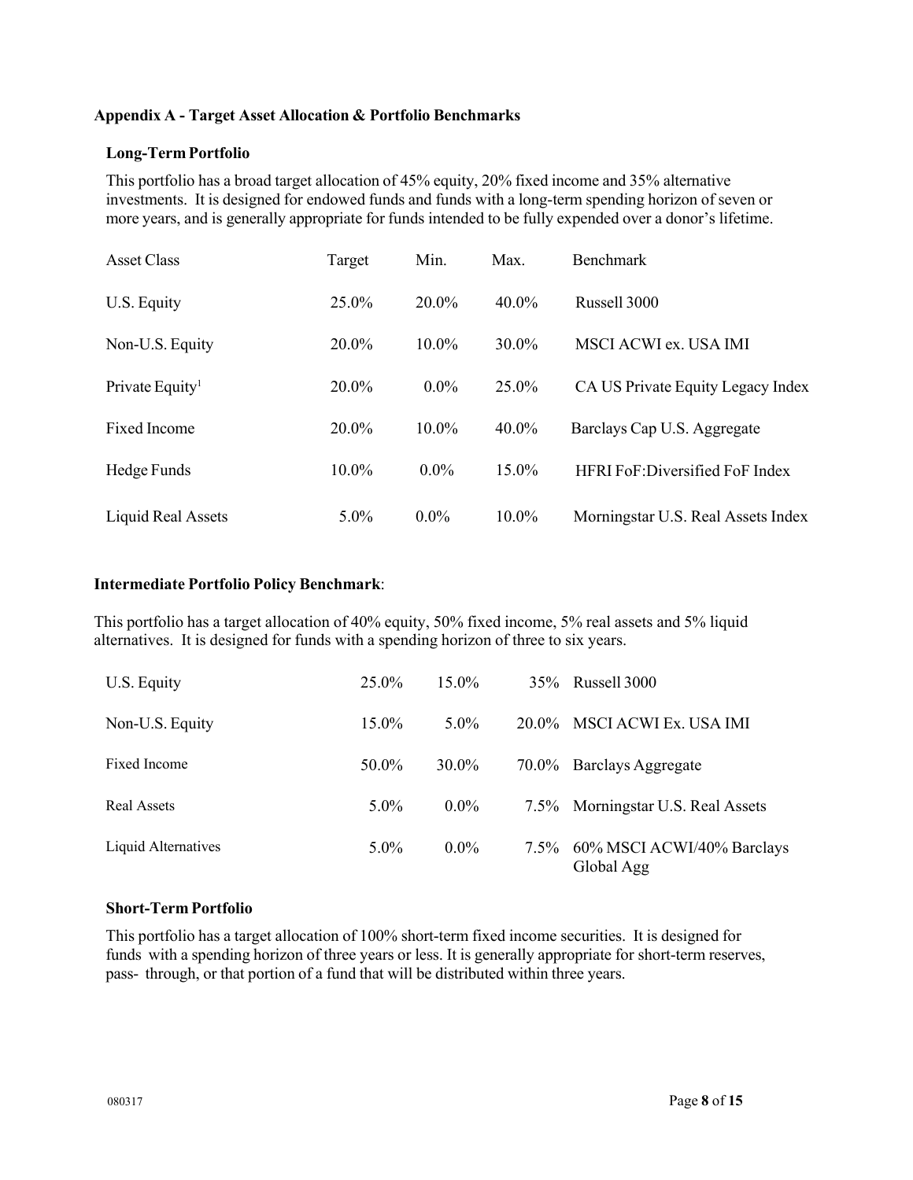## **Appendix A - Target Asset Allocation & Portfolio Benchmarks**

## **Long-Term Portfolio**

This portfolio has a broad target allocation of 45% equity, 20% fixed income and 35% alternative investments. It is designed for endowed funds and funds with a long-term spending horizon of seven or more years, and is generally appropriate for funds intended to be fully expended over a donor's lifetime.

| Asset Class                 | Target  | Min.     | Max.     | <b>Benchmark</b>                     |
|-----------------------------|---------|----------|----------|--------------------------------------|
| U.S. Equity                 | 25.0%   | 20.0%    | $40.0\%$ | <b>Russell 3000</b>                  |
| Non-U.S. Equity             | 20.0%   | $10.0\%$ | 30.0%    | MSCI ACWI ex. USA IMI                |
| Private Equity <sup>1</sup> | 20.0%   | $0.0\%$  | 25.0%    | CA US Private Equity Legacy Index    |
| Fixed Income                | 20.0%   | 10.0%    | $40.0\%$ | Barclays Cap U.S. Aggregate          |
| Hedge Funds                 | 10.0%   | $0.0\%$  | 15.0%    | <b>HFRIFoF:Diversified FoF Index</b> |
| Liquid Real Assets          | $5.0\%$ | $0.0\%$  | $10.0\%$ | Morningstar U.S. Real Assets Index   |

#### **Intermediate Portfolio Policy Benchmark**:

This portfolio has a target allocation of 40% equity, 50% fixed income, 5% real assets and 5% liquid alternatives. It is designed for funds with a spending horizon of three to six years.

| U.S. Equity         | 25.0%    | $15.0\%$ |          | 35% Russell 3000                              |
|---------------------|----------|----------|----------|-----------------------------------------------|
| Non-U.S. Equity     | $15.0\%$ | $5.0\%$  | $20.0\%$ | MSCI ACWI Ex. USA IMI                         |
| Fixed Income        | 50.0%    | $30.0\%$ |          | 70.0% Barclays Aggregate                      |
| Real Assets         | $5.0\%$  | $0.0\%$  |          | 7.5% Morningstar U.S. Real Assets             |
| Liquid Alternatives | $5.0\%$  | $0.0\%$  |          | 7.5% 60% MSCI ACWI/40% Barclays<br>Global Agg |

## **Short-Term Portfolio**

This portfolio has a target allocation of 100% short-term fixed income securities. It is designed for funds with a spending horizon of three years or less. It is generally appropriate for short-term reserves, pass- through, or that portion of a fund that will be distributed within three years.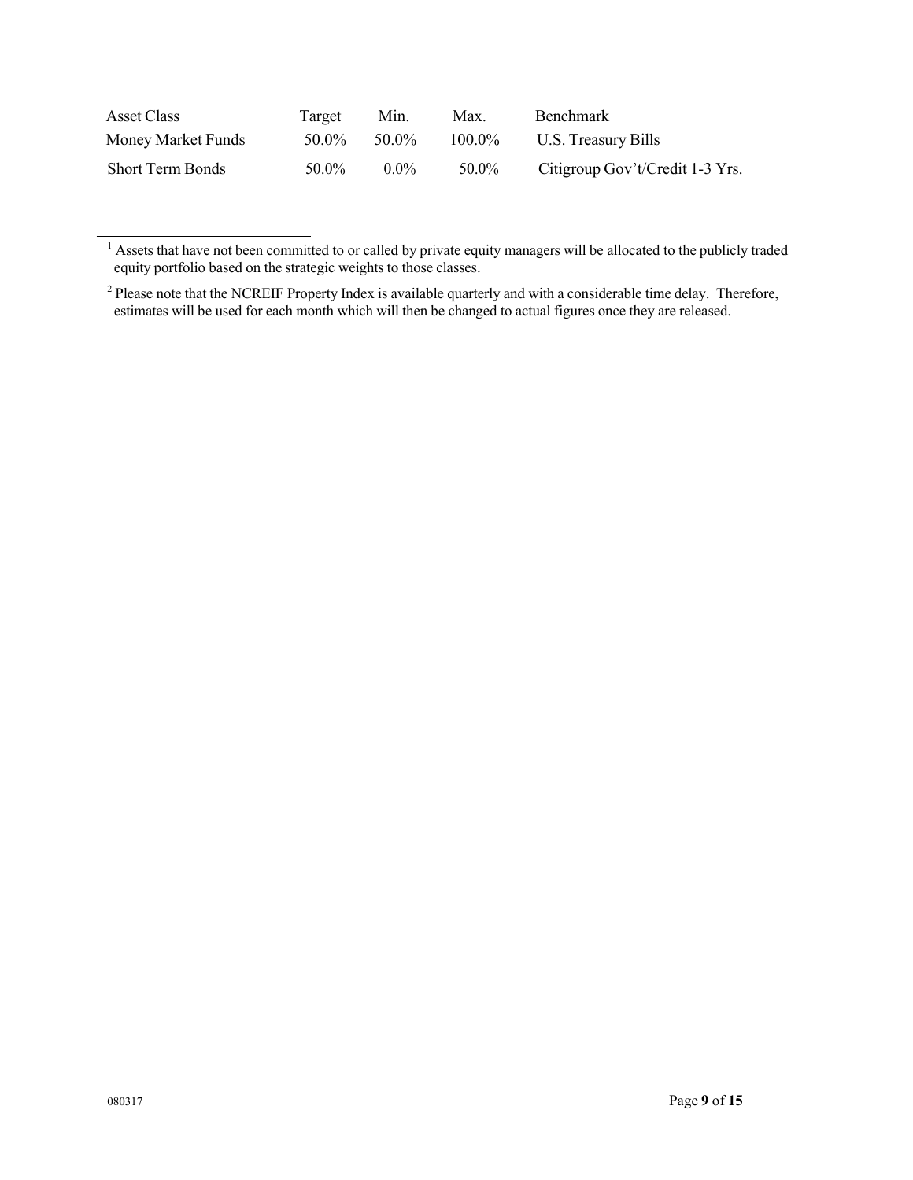| Asset Class             | Target | Min.    | <u>Max.</u> | <b>Benchmark</b>                |
|-------------------------|--------|---------|-------------|---------------------------------|
| Money Market Funds      | 50.0%  | 50.0%   | $100.0\%$   | U.S. Treasury Bills             |
| <b>Short Term Bonds</b> | 50.0%  | $0.0\%$ | 50.0%       | Citigroup Gov't/Credit 1-3 Yrs. |

 $1$  Assets that have not been committed to or called by private equity managers will be allocated to the publicly traded equity portfolio based on the strategic weights to those classes.

<sup>&</sup>lt;sup>2</sup> Please note that the NCREIF Property Index is available quarterly and with a considerable time delay. Therefore, estimates will be used for each month which will then be changed to actual figures once they are released.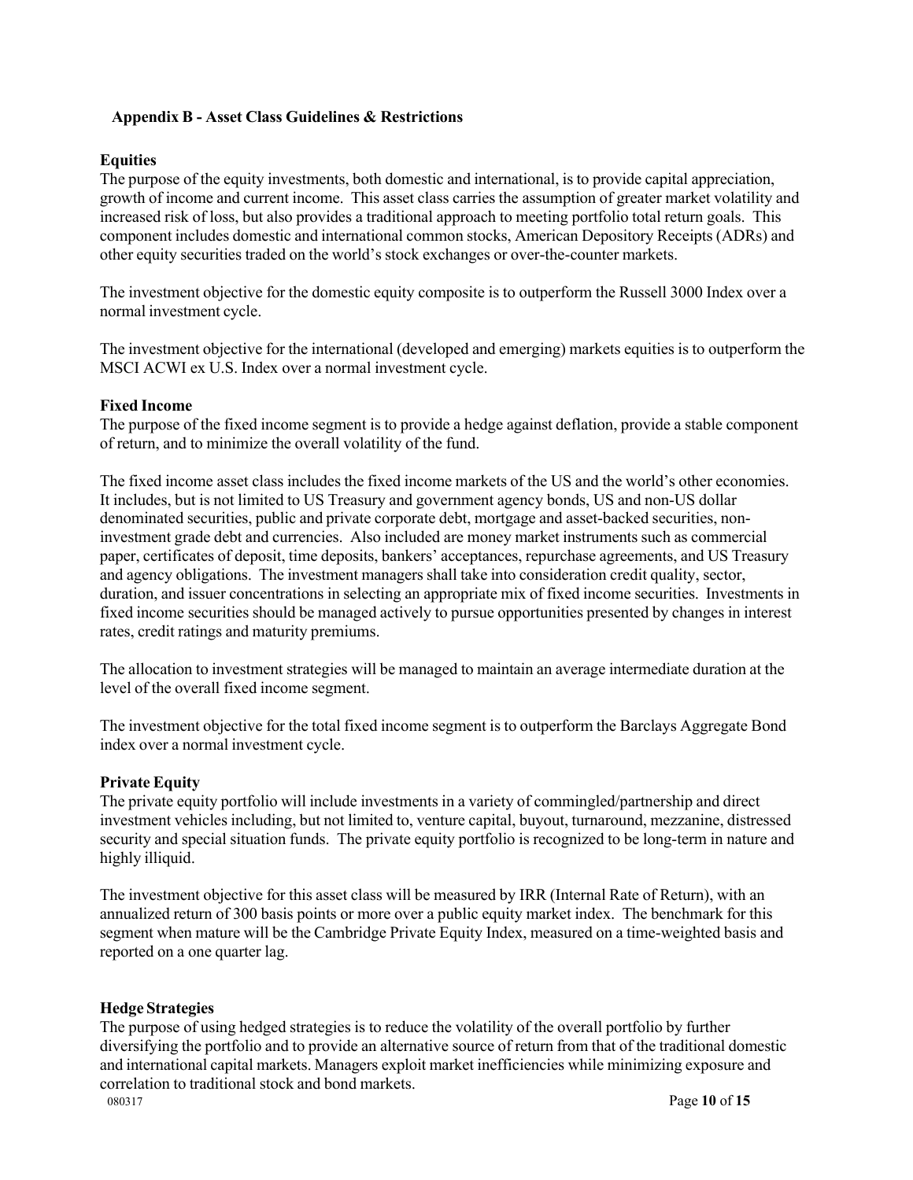## **Appendix B - Asset Class Guidelines & Restrictions**

#### **Equities**

The purpose of the equity investments, both domestic and international, is to provide capital appreciation, growth of income and current income. This asset class carries the assumption of greater market volatility and increased risk of loss, but also provides a traditional approach to meeting portfolio total return goals. This component includes domestic and international common stocks, American Depository Receipts (ADRs) and other equity securities traded on the world's stock exchanges or over-the-counter markets.

The investment objective for the domestic equity composite is to outperform the Russell 3000 Index over a normal investment cycle.

The investment objective for the international (developed and emerging) markets equities is to outperform the MSCI ACWI ex U.S. Index over a normal investment cycle.

#### **Fixed Income**

The purpose of the fixed income segment is to provide a hedge against deflation, provide a stable component of return, and to minimize the overall volatility of the fund.

The fixed income asset class includes the fixed income markets of the US and the world's other economies. It includes, but is not limited to US Treasury and government agency bonds, US and non-US dollar denominated securities, public and private corporate debt, mortgage and asset-backed securities, noninvestment grade debt and currencies. Also included are money market instruments such as commercial paper, certificates of deposit, time deposits, bankers' acceptances, repurchase agreements, and US Treasury and agency obligations. The investment managers shall take into consideration credit quality, sector, duration, and issuer concentrations in selecting an appropriate mix of fixed income securities. Investments in fixed income securities should be managed actively to pursue opportunities presented by changes in interest rates, credit ratings and maturity premiums.

The allocation to investment strategies will be managed to maintain an average intermediate duration at the level of the overall fixed income segment.

The investment objective for the total fixed income segment is to outperform the Barclays Aggregate Bond index over a normal investment cycle.

#### **Private Equity**

The private equity portfolio will include investments in a variety of commingled/partnership and direct investment vehicles including, but not limited to, venture capital, buyout, turnaround, mezzanine, distressed security and special situation funds. The private equity portfolio is recognized to be long-term in nature and highly illiquid.

The investment objective for this asset class will be measured by IRR (Internal Rate of Return), with an annualized return of 300 basis points or more over a public equity market index. The benchmark for this segment when mature will be the Cambridge Private Equity Index, measured on a time-weighted basis and reported on a one quarter lag.

#### **Hedge Strategies**

080317 Page **10** of **15** The purpose of using hedged strategies is to reduce the volatility of the overall portfolio by further diversifying the portfolio and to provide an alternative source of return from that of the traditional domestic and international capital markets. Managers exploit market inefficiencies while minimizing exposure and correlation to traditional stock and bond markets.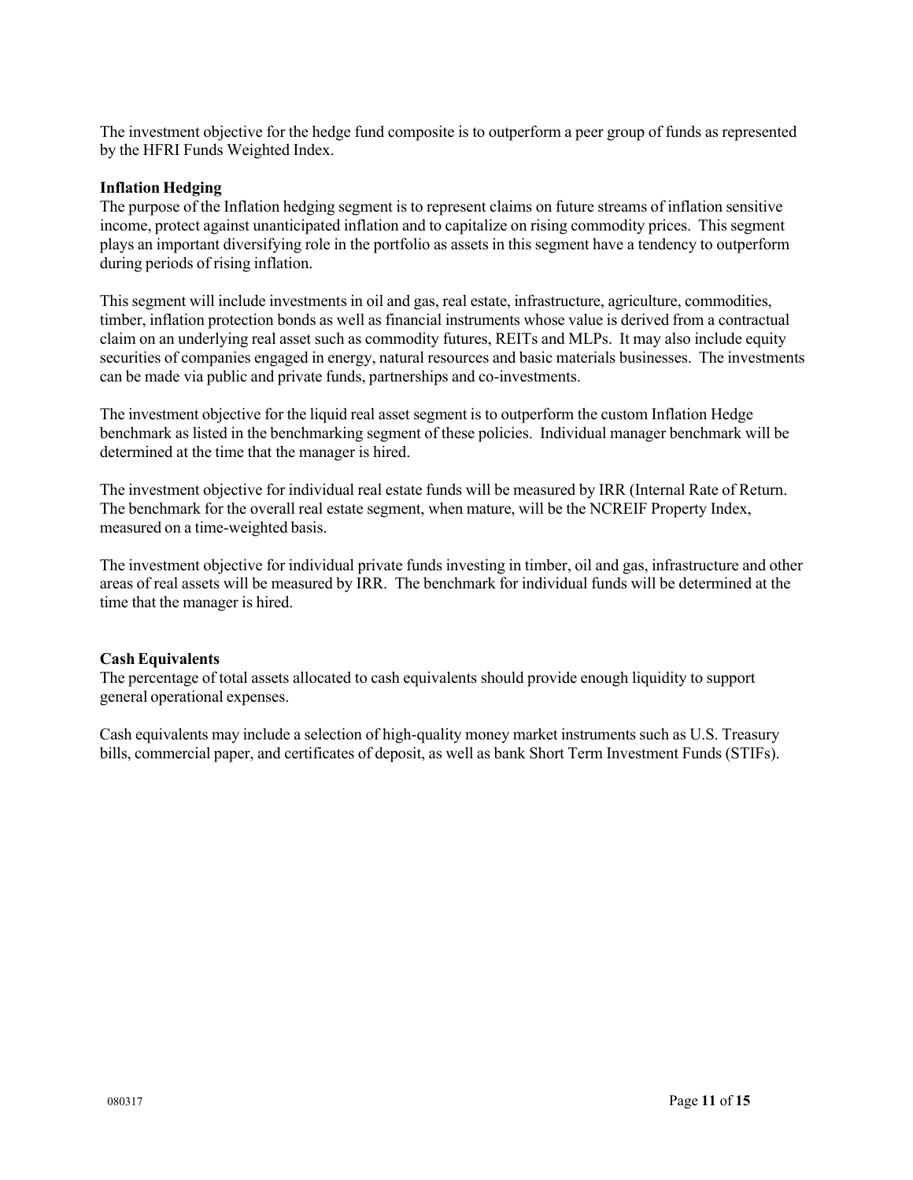The investment objective for the hedge fund composite is to outperform a peer group of funds as represented by the HFRI Funds Weighted Index.

#### **Inflation Hedging**

The purpose of the Inflation hedging segment is to represent claims on future streams of inflation sensitive income, protect against unanticipated inflation and to capitalize on rising commodity prices. This segment plays an important diversifying role in the portfolio as assets in this segment have a tendency to outperform during periods of rising inflation.

This segment will include investments in oil and gas, real estate, infrastructure, agriculture, commodities, timber, inflation protection bonds as well as financial instruments whose value is derived from a contractual claim on an underlying real asset such as commodity futures, REITs and MLPs. It may also include equity securities of companies engaged in energy, natural resources and basic materials businesses. The investments can be made via public and private funds, partnerships and co-investments.

The investment objective for the liquid real asset segment is to outperform the custom Inflation Hedge benchmark as listed in the benchmarking segment of these policies. Individual manager benchmark will be determined at the time that the manager is hired.

The investment objective for individual real estate funds will be measured by IRR (Internal Rate of Return. The benchmark for the overall real estate segment, when mature, will be the NCREIF Property Index, measured on a time-weighted basis.

The investment objective for individual private funds investing in timber, oil and gas, infrastructure and other areas of real assets will be measured by IRR. The benchmark for individual funds will be determined at the time that the manager is hired.

## **Cash Equivalents**

The percentage of total assets allocated to cash equivalents should provide enough liquidity to support general operational expenses.

Cash equivalents may include a selection of high-quality money market instruments such as U.S. Treasury bills, commercial paper, and certificates of deposit, as well as bank Short Term Investment Funds (STIFs).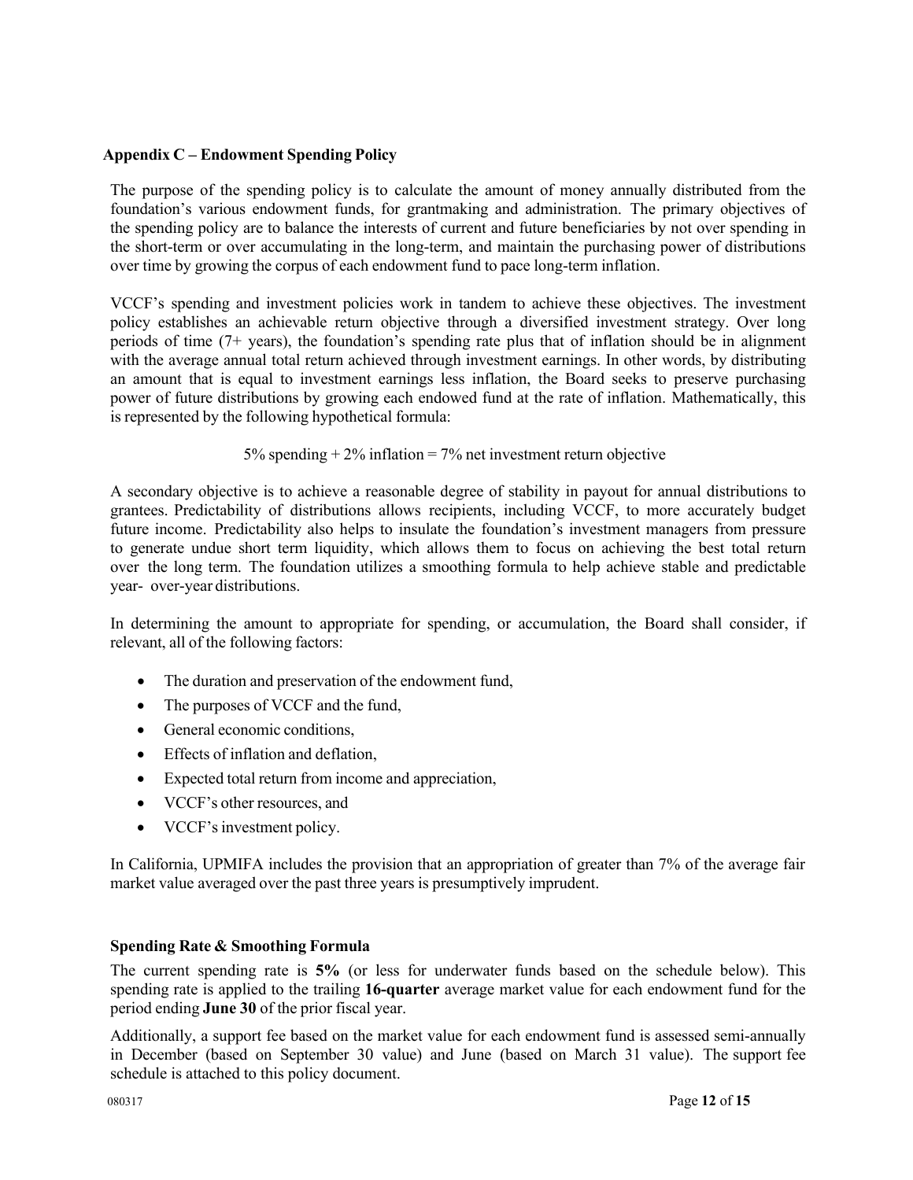## **Appendix C – Endowment Spending Policy**

The purpose of the spending policy is to calculate the amount of money annually distributed from the foundation's various endowment funds, for grantmaking and administration. The primary objectives of the spending policy are to balance the interests of current and future beneficiaries by not over spending in the short-term or over accumulating in the long-term, and maintain the purchasing power of distributions over time by growing the corpus of each endowment fund to pace long-term inflation.

VCCF's spending and investment policies work in tandem to achieve these objectives. The investment policy establishes an achievable return objective through a diversified investment strategy. Over long periods of time  $(7+)$  years), the foundation's spending rate plus that of inflation should be in alignment with the average annual total return achieved through investment earnings. In other words, by distributing an amount that is equal to investment earnings less inflation, the Board seeks to preserve purchasing power of future distributions by growing each endowed fund at the rate of inflation. Mathematically, this is represented by the following hypothetical formula:

# 5% spending  $+2\%$  inflation = 7% net investment return objective

A secondary objective is to achieve a reasonable degree of stability in payout for annual distributions to grantees. Predictability of distributions allows recipients, including VCCF, to more accurately budget future income. Predictability also helps to insulate the foundation's investment managers from pressure to generate undue short term liquidity, which allows them to focus on achieving the best total return over the long term. The foundation utilizes a smoothing formula to help achieve stable and predictable year- over-year distributions.

In determining the amount to appropriate for spending, or accumulation, the Board shall consider, if relevant, all of the following factors:

- The duration and preservation of the endowment fund,
- The purposes of VCCF and the fund,
- General economic conditions,
- Effects of inflation and deflation,
- Expected total return from income and appreciation,
- VCCF's other resources, and
- VCCF's investment policy.

In California, UPMIFA includes the provision that an appropriation of greater than 7% of the average fair market value averaged over the past three years is presumptively imprudent.

# **Spending Rate & Smoothing Formula**

The current spending rate is **5%** (or less for underwater funds based on the schedule below). This spending rate is applied to the trailing **16-quarter** average market value for each endowment fund for the period ending **June 30** of the prior fiscal year.

Additionally, a support fee based on the market value for each endowment fund is assessed semi-annually in December (based on September 30 value) and June (based on March 31 value). The support fee schedule is attached to this policy document.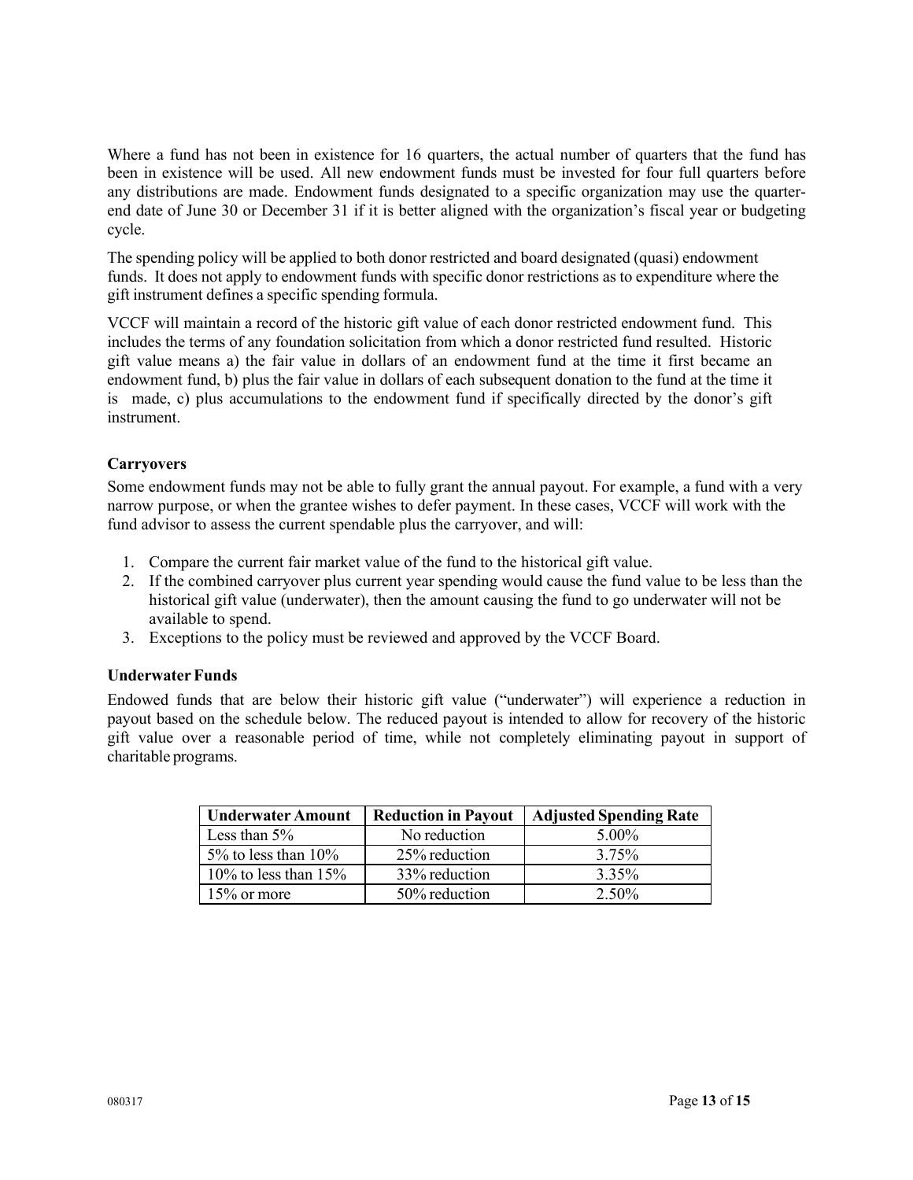Where a fund has not been in existence for 16 quarters, the actual number of quarters that the fund has been in existence will be used. All new endowment funds must be invested for four full quarters before any distributions are made. Endowment funds designated to a specific organization may use the quarterend date of June 30 or December 31 if it is better aligned with the organization's fiscal year or budgeting cycle.

The spending policy will be applied to both donor restricted and board designated (quasi) endowment funds. It does not apply to endowment funds with specific donor restrictions as to expenditure where the gift instrument defines a specific spending formula.

VCCF will maintain a record of the historic gift value of each donor restricted endowment fund. This includes the terms of any foundation solicitation from which a donor restricted fund resulted. Historic gift value means a) the fair value in dollars of an endowment fund at the time it first became an endowment fund, b) plus the fair value in dollars of each subsequent donation to the fund at the time it is made, c) plus accumulations to the endowment fund if specifically directed by the donor's gift instrument.

# **Carryovers**

Some endowment funds may not be able to fully grant the annual payout. For example, a fund with a very narrow purpose, or when the grantee wishes to defer payment. In these cases, VCCF will work with the fund advisor to assess the current spendable plus the carryover, and will:

- 1. Compare the current fair market value of the fund to the historical gift value.
- 2. If the combined carryover plus current year spending would cause the fund value to be less than the historical gift value (underwater), then the amount causing the fund to go underwater will not be available to spend.
- 3. Exceptions to the policy must be reviewed and approved by the VCCF Board.

# **Underwater Funds**

Endowed funds that are below their historic gift value ("underwater") will experience a reduction in payout based on the schedule below. The reduced payout is intended to allow for recovery of the historic gift value over a reasonable period of time, while not completely eliminating payout in support of charitable programs.

| <b>Underwater Amount</b> | <b>Reduction in Payout</b> | <b>Adjusted Spending Rate</b> |
|--------------------------|----------------------------|-------------------------------|
| Less than $5\%$          | No reduction               | $5.00\%$                      |
| 5% to less than $10\%$   | 25% reduction              | 3.75%                         |
| 10% to less than $15%$   | 33% reduction              | 3.35%                         |
| $15\%$ or more           | 50% reduction              | $2.50\%$                      |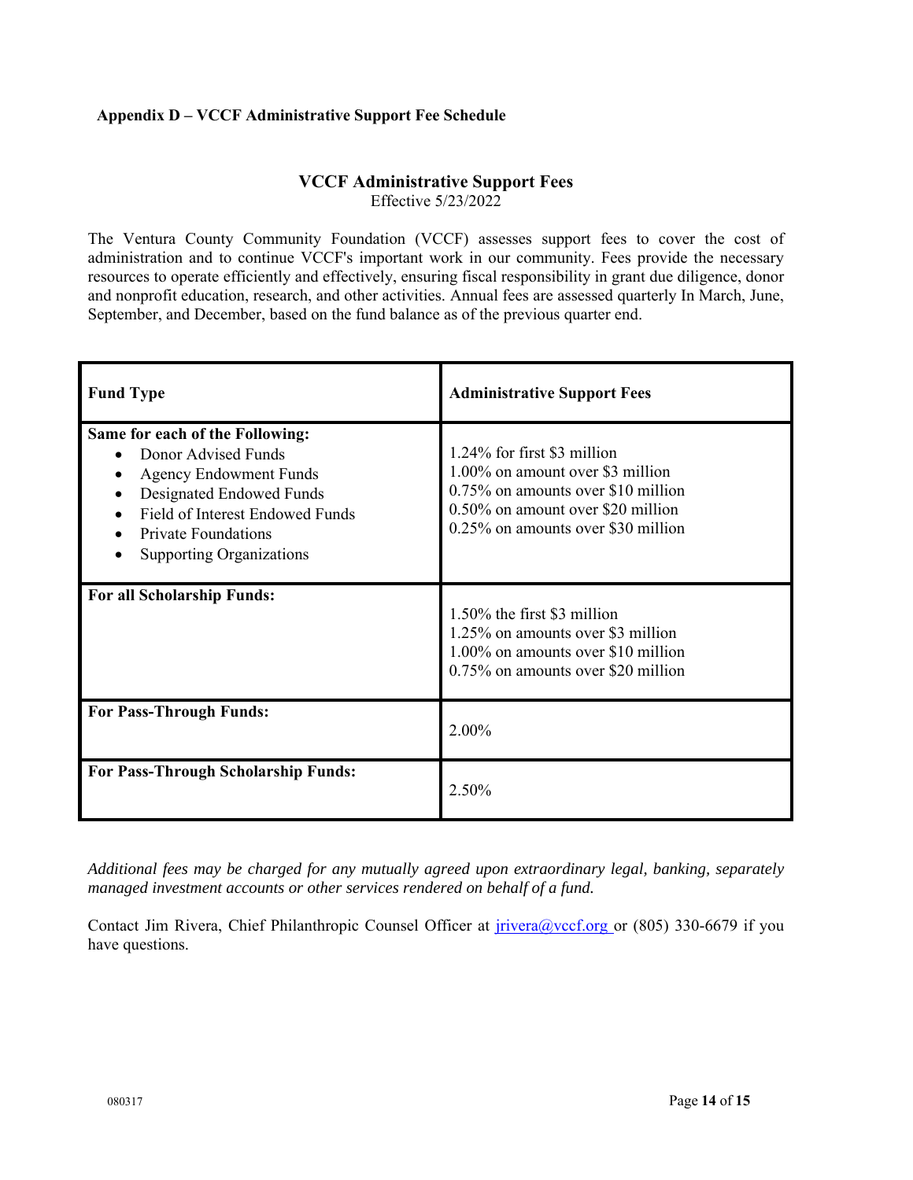# **Appendix D – VCCF Administrative Support Fee Schedule**

# **VCCF Administrative Support Fees**

Effective 5/23/2022

The Ventura County Community Foundation (VCCF) assesses support fees to cover the cost of administration and to continue VCCF's important work in our community. Fees provide the necessary resources to operate efficiently and effectively, ensuring fiscal responsibility in grant due diligence, donor and nonprofit education, research, and other activities. Annual fees are assessed quarterly In March, June, September, and December, based on the fund balance as of the previous quarter end.

| <b>Fund Type</b>                                                                                                                                                                                                        | <b>Administrative Support Fees</b>                                                                                                                                               |
|-------------------------------------------------------------------------------------------------------------------------------------------------------------------------------------------------------------------------|----------------------------------------------------------------------------------------------------------------------------------------------------------------------------------|
| Same for each of the Following:<br>Donor Advised Funds<br><b>Agency Endowment Funds</b><br>Designated Endowed Funds<br>Field of Interest Endowed Funds<br><b>Private Foundations</b><br><b>Supporting Organizations</b> | 1.24% for first \$3 million<br>1.00% on amount over \$3 million<br>0.75% on amounts over \$10 million<br>0.50% on amount over \$20 million<br>0.25% on amounts over \$30 million |
| For all Scholarship Funds:                                                                                                                                                                                              | 1.50% the first \$3 million<br>1.25% on amounts over \$3 million<br>1.00% on amounts over \$10 million<br>0.75% on amounts over \$20 million                                     |
| <b>For Pass-Through Funds:</b>                                                                                                                                                                                          | 2.00%                                                                                                                                                                            |
| <b>For Pass-Through Scholarship Funds:</b>                                                                                                                                                                              | 2.50%                                                                                                                                                                            |

*Additional fees may be charged for any mutually agreed upon extraordinary legal, banking, separately managed investment accounts or other services rendered on behalf of a fund.* 

Contact Jim Rivera, Chief Philanthropic Counsel Officer at *jrivera@vccf.org* or (805) 330-6679 if you have questions.